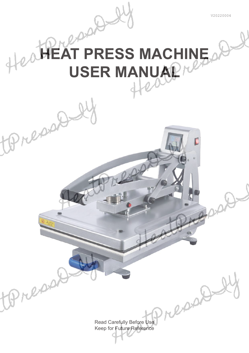

## epppe **AT PRESS MACHINE USER MANUAL<sup>N</sup>**

Read Carefully Before Use Keep for Future Reference

px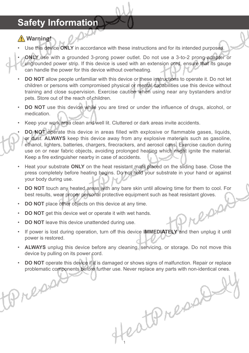### **Safety Information**

### **Warning!**

Use this device **ONLY** in accordance with these instructions and for its intended purposes.

- **ONLY** use with a grounded 3-prong power outlet. Do not use a 3-to-2 prong adapter or ungrounded power strip. If this device is used with an extension cord, ensure that its gauge can handle the power for this device without overheating.
- **DO NOT** allow people unfamiliar with this device or these instructions to operate it. Do not let children or persons with compromised physical or mental capabilities use this device without training and close supervision. Exercise caution when using near any bystanders and/or pets. Store out of the reach of children.
- **DO NOT** use this device while you are tired or under the influence of drugs, alcohol, or medication.
- Keep your work area clean and well lit. Cluttered or dark areas invite accidents.
- **DO NOT** operate this device in areas filled with explosive or flammable gases, liquids, or dust. **ALWAYS** keep this device away from any explosive materials such as gasoline, ethanol, lighters, batteries, chargers, firecrackers, and aerosol cans. Exercise caution during use on or near fabric objects, avoiding prolonged heating which might ignite the material. Keep a fire extinguisher nearby in case of accidents.
- Heat your substrate **ONLY** on the heat resistant mats placed on the sliding base. Close the press completely before heating begins. Do not hold your substrate in your hand or against your body during use.
- **DO NOT** touch any heated areas with any bare skin until allowing time for them to cool. For best results, wear proper personal protective equipment such as heat resistant gloves.

epp

- **DO NOT** place other objects on this device at any time.
- **DO NOT** get this device wet or operate it with wet hands.
- **DO NOT** leave this device unattended during use.

repor

- If power is lost during operation, turn off this device **IMMEDIATELY** and then unplug it until power is restored.
- **ALWAYS** unplug this device before any cleaning, servicing, or storage. Do not move this device by pulling on its power cord.
- **DO NOT** operate this device if it is damaged or shows signs of malfunction. Repair or replace problematic components before further use. Never replace any parts with non-identical ones.

1

eathneased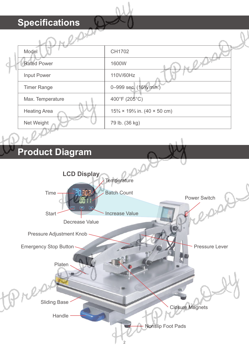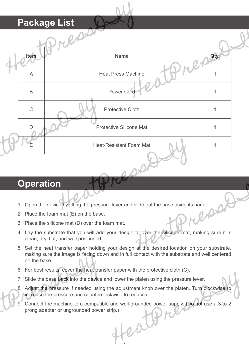

### **Operation**

- 1. Open the device by lifting the pressure lever and slide out the base using its handle.
- 2. Place the foam mat (E) on the base.
- 3. Place the silicone mat (D) over the foam mat.
- 4. Lay the substrate that you will add your design to over the silicone mat, making sure it is clean, dry, flat, and well positioned.
- 5. Set the heat transfer paper holding your design at the desired location on your substrate, making sure the image is facing down and in full contact with the substrate and well centered on the base.
- 6. For best results, cover the heat transfer paper with the protective cloth (C).
- 7. Slide the base back into the device and lower the platen using the pressure lever.
- 8. Adjust the pressure if needed using the adjustment knob over the platen. Turn clockwise to increase the pressure and counterclockwise to reduce it.
- 9. Connect the machine to a compatible and well-grounded power supply. (Do not use a 3-to-2 prong adapter or ungrounded power strip.)

est 3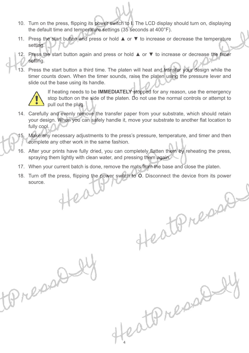- 10. Turn on the press, flipping its power switch to **I**. The LCD display should turn on, displaying the default time and temperature settings (35 seconds at 400°F).
- 11. Press the start button and press or hold ▲ or ▼ to increase or decrease the temperature setting.
- 12. Press the start button again and press or hold ▲ or ▼ to increase or decrease the timer setting.
- 13. Press the start button a third time. The platen will heat and transfer your design while the timer counts down. When the timer sounds, raise the platen using the pressure lever and slide out the base using its handle.



lepp

If heating needs to be **IMMEDIATELY** stopped for any reason, use the emergency stop button on the side of the platen. Do not use the normal controls or attempt to pull out the plug.

14. Carefully and evenly remove the transfer paper from your substrate, which should retain your design. When you can safely handle it, move your substrate to another flat location to fully cool.



- 16. After your prints have fully dried, you can completely flatten them by reheating the press, spraying them lightly with clean water, and pressing them again.
- 17. When your current batch is done, remove the mats from the base and close the platen.
- 18. Turn off the press, flipping the power switch to **O**. Disconnect the device from its power source.

estones

eathnessed

4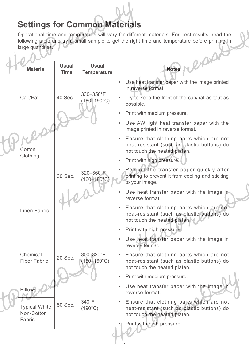### **Settings for Common Materials**

 $\mathbb{R}^2$ х.

Operational time and temperature will vary for different materials. For best results, read the following table and try a small sample to get the right time and temperature before printing in large quantities. N.I

| <b>Material</b>                                         | <b>Usual</b><br><b>Time</b> | <b>Usual</b><br><b>Temperature</b>  | <b>Notes</b>                                                                                                                         |
|---------------------------------------------------------|-----------------------------|-------------------------------------|--------------------------------------------------------------------------------------------------------------------------------------|
| Cap/Hat                                                 |                             |                                     | Use heat transfer paper with the image printed<br>in reverse format.                                                                 |
|                                                         | 40 Sec.                     | 330-350°F<br>$(180 - 190^{\circ}C)$ | Try to keep the front of the cap/hat as taut as<br>possible.                                                                         |
|                                                         |                             |                                     | Print with medium pressure.                                                                                                          |
| Cotton<br>Clothing                                      |                             |                                     | Use AW light heat transfer paper with the<br>$\bullet$<br>image printed in reverse format.                                           |
|                                                         |                             |                                     | Ensure that clothing parts which are not<br>heat-resistant (such as plastic buttons) do<br>not touch the heated platen.              |
|                                                         |                             |                                     | Print with high pressure.<br>$\bullet$                                                                                               |
|                                                         | 30 Sec.                     | 320-360°F<br>$(160 - 180^{\circ}C)$ | Peel off the transfer paper quickly after<br>printing to prevent it from cooling and sticking<br>to your image.                      |
| <b>Linen Fabric</b>                                     |                             |                                     | Use heat transfer paper with the image in<br>reverse format.                                                                         |
|                                                         |                             |                                     | Ensure that clothing parts which are not<br>heat-resistant (such as plastic buttons) do<br>not touch the heated platen.              |
|                                                         |                             |                                     | Print with high pressure.                                                                                                            |
| Chemical<br><b>Fiber Fabric</b>                         |                             |                                     | Use heat transfer paper with the image in<br>reverse format.                                                                         |
|                                                         | 20 Sec.                     | 300-320°F<br>$(150 - 160^{\circ}C)$ | Ensure that clothing parts which are not<br>$\bullet$<br>heat-resistant (such as plastic buttons) do<br>not touch the heated platen. |
|                                                         |                             |                                     | Print with medium pressure.<br>$\bullet$                                                                                             |
| Pillows<br><b>Typical White</b><br>Non-Cotton<br>Fabric |                             |                                     | Use heat transfer paper with the image in<br>$\bullet$<br>reverse format.                                                            |
|                                                         | 50 Sec.                     | 340°F<br>$(190^{\circ}C)$           | Ensure that clothing parts which are not<br>heat-resistant (such as plastic buttons) do<br>not touch the heated platen.              |
|                                                         |                             |                                     | Print with high pressure.<br>$\bullet$                                                                                               |
|                                                         |                             |                                     |                                                                                                                                      |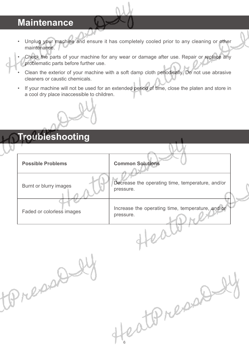### **Maintenance**

Unplug your machine and ensure it has completely cooled prior to any cleaning or other maintenance.

• Check the parts of your machine for any wear or damage after use. Repair or replace any problematic parts before further use.

- Clean the exterior of your machine with a soft damp cloth periodically. Do not use abrasive cleaners or caustic chemicals.
- If your machine will not be used for an extended period of time, close the platen and store in a cool dry place inaccessible to children.



# **Troubleshooting Possible Problems Common Solutions** Burnt or blurry images **Decrease** the operating time, temperature, and/or pressure. Faded or colorless images **Increase** the operating time, temperature, and/or pressure.Rapa catterance

6